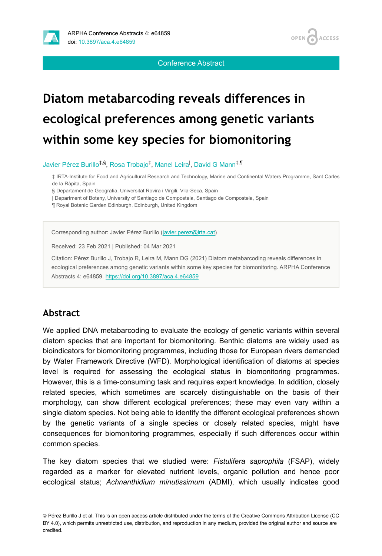



Conference Abstract

# **Diatom metabarcoding reveals differences in ecological preferences among genetic variants within some key species for biomonitoring**

Javier Pérez Burillo<sup>‡,§</sup>, Rosa Trobajo<sup>‡</sup>, Manel Leira<sup>l</sup>, David G Mann<sup>‡,¶</sup>

‡ IRTA-Institute for Food and Agricultural Research and Technology, Marine and Continental Waters Programme, Sant Carles de la Ràpita, Spain

§ Departament de Geografia, Universitat Rovira i Virgili, Vila-Seca, Spain

| Department of Botany, University of Santiago de Compostela, Santiago de Compostela, Spain

¶ Royal Botanic Garden Edinburgh, Edinburgh, United Kingdom

Corresponding author: Javier Pérez Burillo [\(javier.perez@irta.cat](mailto:javier.perez@irta.cat))

Received: 23 Feb 2021 | Published: 04 Mar 2021

Citation: Pérez Burillo J, Trobajo R, Leira M, Mann DG (2021) Diatom metabarcoding reveals differences in ecological preferences among genetic variants within some key species for biomonitoring. ARPHA Conference Abstracts 4: e64859.<https://doi.org/10.3897/aca.4.e64859>

### **Abstract**

We applied DNA metabarcoding to evaluate the ecology of genetic variants within several diatom species that are important for biomonitoring. Benthic diatoms are widely used as bioindicators for biomonitoring programmes, including those for European rivers demanded by Water Framework Directive (WFD). Morphological identification of diatoms at species level is required for assessing the ecological status in biomonitoring programmes. However, this is a time-consuming task and requires expert knowledge. In addition, closely related species, which sometimes are scarcely distinguishable on the basis of their morphology, can show different ecological preferences; these may even vary within a single diatom species. Not being able to identify the different ecological preferences shown by the genetic variants of a single species or closely related species, might have consequences for biomonitoring programmes, especially if such differences occur within common species.

The key diatom species that we studied were: *Fistulifera saprophila* (FSAP), widely regarded as a marker for elevated nutrient levels, organic pollution and hence poor ecological status; *Achnanthidium minutissimum* (ADMI), which usually indicates good

© Pérez Burillo J et al. This is an open access article distributed under the terms of the Creative Commons Attribution License (CC BY 4.0), which permits unrestricted use, distribution, and reproduction in any medium, provided the original author and source are credited.